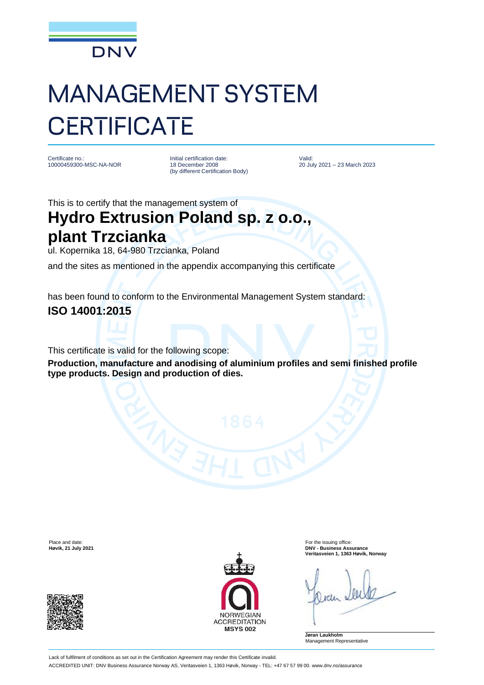

# MANAGEMENT SYSTEM **CERTIFICATE**

Certificate no.: 10000459300-MSC-NA-NOR Initial certification date: 18 December 2008 (by different Certification Body)

Valid: 20 July 2021 – 23 March 2023

This is to certify that the management system of

## **Hydro Extrusion Poland sp. z o.o., plant Trzcianka**

ul. Kopernika 18, 64-980 Trzcianka, Poland

and the sites as mentioned in the appendix accompanying this certificate

has been found to conform to the Environmental Management System standard:

### **ISO 14001:2015**

This certificate is valid for the following scope:

**Production, manufacture and anodising of aluminium profiles and semi finished profile type products. Design and production of dies.**





Place and date:<br> **Place and date:** For the issuing office:<br> **Place and date:** For the issuing office:<br> **Phace and date:** For the issuing office: **Høvik, 21 July 2021 DNV - Business Assurance Veritasveien 1, 1363 Høvik, Norway**

**Jøran Laukholm** Management Representative

Lack of fulfilment of conditions as set out in the Certification Agreement may render this Certificate invalid. ACCREDITED UNIT: DNV Business Assurance Norway AS, Veritasveien 1, 1363 Høvik, Norway - TEL: +47 67 57 99 00. www.dnv.no/assurance